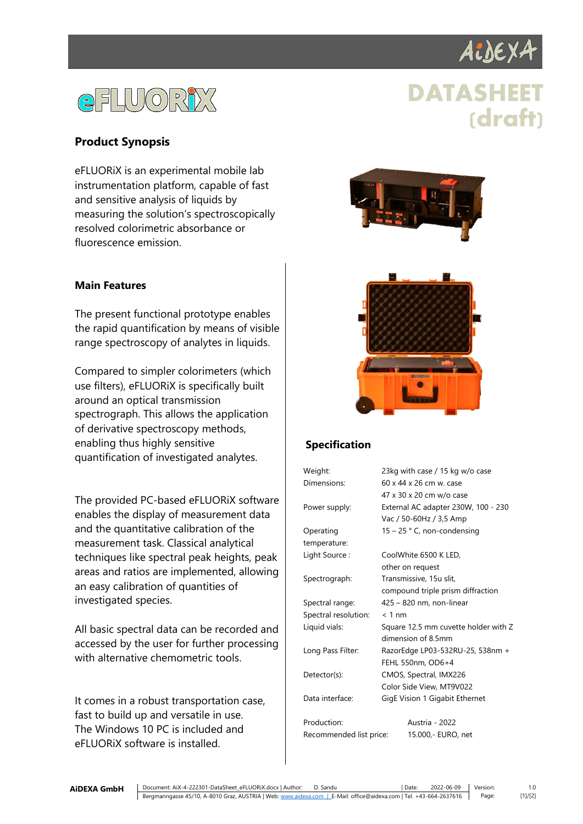

# GFLWORDX

## **DATASHEET (draft)**

#### **Product Synopsis**

eFLUORiX is an experimental mobile lab instrumentation platform, capable of fast and sensitive analysis of liquids by measuring the solution's spectroscopically resolved colorimetric absorbance or fluorescence emission.

#### **Main Features**

The present functional prototype enables the rapid quantification by means of visible range spectroscopy of analytes in liquids.

Compared to simpler colorimeters (which use filters), eFLUORiX is specifically built around an optical transmission spectrograph. This allows the application of derivative spectroscopy methods, enabling thus highly sensitive quantification of investigated analytes.

The provided PC-based eFLUORiX software enables the display of measurement data and the quantitative calibration of the measurement task. Classical analytical techniques like spectral peak heights, peak areas and ratios are implemented, allowing an easy calibration of quantities of investigated species.

All basic spectral data can be recorded and accessed by the user for further processing with alternative chemometric tools.

It comes in a robust transportation case, fast to build up and versatile in use. The Windows 10 PC is included and eFLUORiX software is installed.





### **Specification**

| Weight:              | 23kg with case / 15 kg w/o case      |
|----------------------|--------------------------------------|
| Dimensions:          | 60 x 44 x 26 cm w. case              |
|                      | 47 x 30 x 20 cm w/o case             |
| Power supply:        | External AC adapter 230W, 100 - 230  |
|                      | Vac / 50-60Hz / 3,5 Amp              |
| Operating            | $15 - 25$ ° C, non-condensing        |
| temperature:         |                                      |
| Light Source:        | CoolWhite 6500 K LED,                |
|                      | other on request                     |
| Spectrograph:        | Transmissive, 15u slit,              |
|                      | compound triple prism diffraction    |
| Spectral range:      | 425 - 820 nm, non-linear             |
| Spectral resolution: | $< 1$ nm                             |
| Liquid vials:        | Square 12.5 mm cuvette holder with Z |
|                      | dimension of 8.5mm                   |
| Long Pass Filter:    | RazorEdge LP03-532RU-25, 538nm +     |
|                      | FEHL 550nm, OD6+4                    |
| Detector(s):         | CMOS, Spectral, IMX226               |
|                      | Color Side View, MT9V022             |
| Data interface:      | GigE Vision 1 Gigabit Ethernet       |
| Production:          | Austria - 2022                       |

Recommended list price: 15.000,- EURO, net